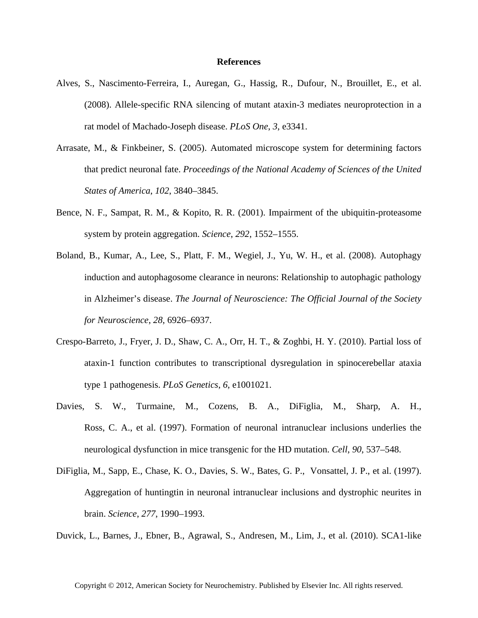## **References**

- Alves, S., Nascimento-Ferreira, I., Auregan, G., Hassig, R., Dufour, N., Brouillet, E., et al. (2008). Allele-specific RNA silencing of mutant ataxin-3 mediates neuroprotection in a rat model of Machado-Joseph disease. *PLoS One*, *3*, e3341.
- Arrasate, M., & Finkbeiner, S. (2005). Automated microscope system for determining factors that predict neuronal fate. *Proceedings of the National Academy of Sciences of the United States of America*, *102*, 3840–3845.
- Bence, N. F., Sampat, R. M., & Kopito, R. R. (2001). Impairment of the ubiquitin-proteasome system by protein aggregation. *Science*, *292*, 1552–1555.
- Boland, B., Kumar, A., Lee, S., Platt, F. M., Wegiel, J., Yu, W. H., et al. (2008). Autophagy induction and autophagosome clearance in neurons: Relationship to autophagic pathology in Alzheimer's disease. *The Journal of Neuroscience: The Official Journal of the Society for Neuroscience*, *28*, 6926–6937.
- Crespo-Barreto, J., Fryer, J. D., Shaw, C. A., Orr, H. T., & Zoghbi, H. Y. (2010). Partial loss of ataxin-1 function contributes to transcriptional dysregulation in spinocerebellar ataxia type 1 pathogenesis. *PLoS Genetics*, *6*, e1001021.
- Davies, S. W., Turmaine, M., Cozens, B. A., DiFiglia, M., Sharp, A. H., Ross, C. A., et al. (1997). Formation of neuronal intranuclear inclusions underlies the neurological dysfunction in mice transgenic for the HD mutation. *Cell*, *90*, 537–548.
- DiFiglia, M., Sapp, E., Chase, K. O., Davies, S. W., Bates, G. P., Vonsattel, J. P., et al. (1997). Aggregation of huntingtin in neuronal intranuclear inclusions and dystrophic neurites in brain. *Science*, *277*, 1990–1993.

Duvick, L., Barnes, J., Ebner, B., Agrawal, S., Andresen, M., Lim, J., et al. (2010). SCA1-like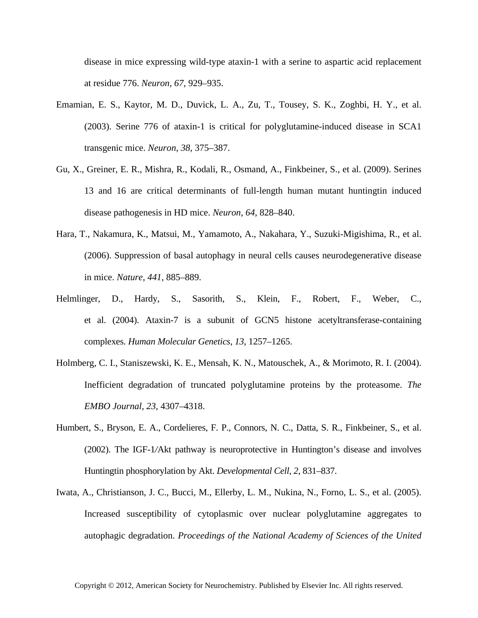disease in mice expressing wild-type ataxin-1 with a serine to aspartic acid replacement at residue 776. *Neuron*, *67*, 929–935.

- Emamian, E. S., Kaytor, M. D., Duvick, L. A., Zu, T., Tousey, S. K., Zoghbi, H. Y., et al. (2003). Serine 776 of ataxin-1 is critical for polyglutamine-induced disease in SCA1 transgenic mice. *Neuron*, *38*, 375–387.
- Gu, X., Greiner, E. R., Mishra, R., Kodali, R., Osmand, A., Finkbeiner, S., et al. (2009). Serines 13 and 16 are critical determinants of full-length human mutant huntingtin induced disease pathogenesis in HD mice. *Neuron*, *64*, 828–840.
- Hara, T., Nakamura, K., Matsui, M., Yamamoto, A., Nakahara, Y., Suzuki-Migishima, R., et al. (2006). Suppression of basal autophagy in neural cells causes neurodegenerative disease in mice. *Nature*, *441*, 885–889.
- Helmlinger, D., Hardy, S., Sasorith, S., Klein, F., Robert, F., Weber, C., et al. (2004). Ataxin-7 is a subunit of GCN5 histone acetyltransferase-containing complexes. *Human Molecular Genetics*, *13*, 1257–1265.
- Holmberg, C. I., Staniszewski, K. E., Mensah, K. N., Matouschek, A., & Morimoto, R. I. (2004). Inefficient degradation of truncated polyglutamine proteins by the proteasome. *The EMBO Journal*, *23*, 4307–4318.
- Humbert, S., Bryson, E. A., Cordelieres, F. P., Connors, N. C., Datta, S. R., Finkbeiner, S., et al. (2002). The IGF-1*/*Akt pathway is neuroprotective in Huntington's disease and involves Huntingtin phosphorylation by Akt. *Developmental Cell*, *2*, 831–837.
- Iwata, A., Christianson, J. C., Bucci, M., Ellerby, L. M., Nukina, N., Forno, L. S., et al. (2005). Increased susceptibility of cytoplasmic over nuclear polyglutamine aggregates to autophagic degradation. *Proceedings of the National Academy of Sciences of the United*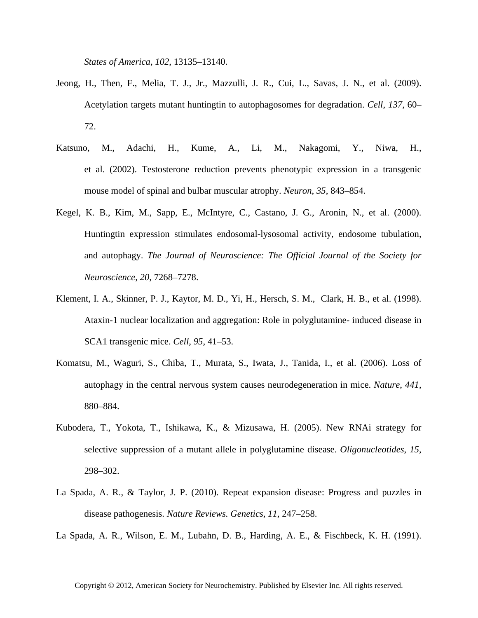*States of America*, *102*, 13135–13140.

- Jeong, H., Then, F., Melia, T. J., Jr., Mazzulli, J. R., Cui, L., Savas, J. N., et al. (2009). Acetylation targets mutant huntingtin to autophagosomes for degradation. *Cell*, *137*, 60– 72.
- Katsuno, M., Adachi, H., Kume, A., Li, M., Nakagomi, Y., Niwa, H., et al. (2002). Testosterone reduction prevents phenotypic expression in a transgenic mouse model of spinal and bulbar muscular atrophy. *Neuron*, *35*, 843–854.
- Kegel, K. B., Kim, M., Sapp, E., McIntyre, C., Castano, J. G., Aronin, N., et al. (2000). Huntingtin expression stimulates endosomal-lysosomal activity, endosome tubulation, and autophagy. *The Journal of Neuroscience: The Official Journal of the Society for Neuroscience*, *20*, 7268–7278.
- Klement, I. A., Skinner, P. J., Kaytor, M. D., Yi, H., Hersch, S. M., Clark, H. B., et al. (1998). Ataxin-1 nuclear localization and aggregation: Role in polyglutamine- induced disease in SCA1 transgenic mice. *Cell*, *95*, 41–53.
- Komatsu, M., Waguri, S., Chiba, T., Murata, S., Iwata, J., Tanida, I., et al. (2006). Loss of autophagy in the central nervous system causes neurodegeneration in mice. *Nature*, *441*, 880–884.
- Kubodera, T., Yokota, T., Ishikawa, K., & Mizusawa, H. (2005). New RNAi strategy for selective suppression of a mutant allele in polyglutamine disease. *Oligonucleotides*, *15*, 298–302.
- La Spada, A. R., & Taylor, J. P. (2010). Repeat expansion disease: Progress and puzzles in disease pathogenesis. *Nature Reviews. Genetics*, *11*, 247–258.
- La Spada, A. R., Wilson, E. M., Lubahn, D. B., Harding, A. E., & Fischbeck, K. H. (1991).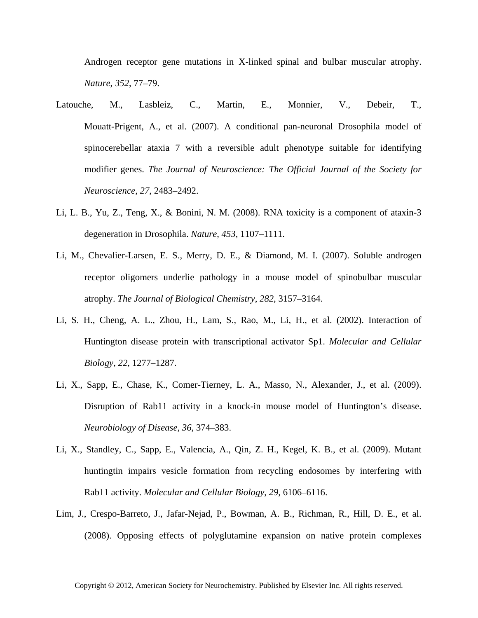Androgen receptor gene mutations in X-linked spinal and bulbar muscular atrophy. *Nature*, *352*, 77–79.

- Latouche, M., Lasbleiz, C., Martin, E., Monnier, V., Debeir, T., Mouatt-Prigent, A., et al. (2007). A conditional pan-neuronal Drosophila model of spinocerebellar ataxia 7 with a reversible adult phenotype suitable for identifying modifier genes. *The Journal of Neuroscience: The Official Journal of the Society for Neuroscience*, *27*, 2483–2492.
- Li, L. B., Yu, Z., Teng, X., & Bonini, N. M. (2008). RNA toxicity is a component of ataxin-3 degeneration in Drosophila. *Nature*, *453*, 1107–1111.
- Li, M., Chevalier-Larsen, E. S., Merry, D. E., & Diamond, M. I. (2007). Soluble androgen receptor oligomers underlie pathology in a mouse model of spinobulbar muscular atrophy. *The Journal of Biological Chemistry*, *282*, 3157–3164.
- Li, S. H., Cheng, A. L., Zhou, H., Lam, S., Rao, M., Li, H., et al. (2002). Interaction of Huntington disease protein with transcriptional activator Sp1. *Molecular and Cellular Biology*, *22*, 1277–1287.
- Li, X., Sapp, E., Chase, K., Comer-Tierney, L. A., Masso, N., Alexander, J., et al. (2009). Disruption of Rab11 activity in a knock-in mouse model of Huntington's disease. *Neurobiology of Disease*, *36*, 374–383.
- Li, X., Standley, C., Sapp, E., Valencia, A., Qin, Z. H., Kegel, K. B., et al. (2009). Mutant huntingtin impairs vesicle formation from recycling endosomes by interfering with Rab11 activity. *Molecular and Cellular Biology*, *29*, 6106–6116.
- Lim, J., Crespo-Barreto, J., Jafar-Nejad, P., Bowman, A. B., Richman, R., Hill, D. E., et al. (2008). Opposing effects of polyglutamine expansion on native protein complexes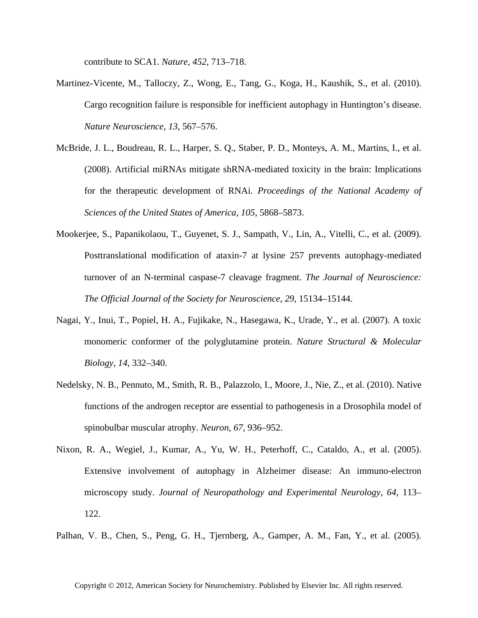contribute to SCA1. *Nature*, *452*, 713–718.

- Martinez-Vicente, M., Talloczy, Z., Wong, E., Tang, G., Koga, H., Kaushik, S., et al. (2010). Cargo recognition failure is responsible for inefficient autophagy in Huntington's disease. *Nature Neuroscience*, *13*, 567–576.
- McBride, J. L., Boudreau, R. L., Harper, S. Q., Staber, P. D., Monteys, A. M., Martins, I., et al. (2008). Artificial miRNAs mitigate shRNA-mediated toxicity in the brain: Implications for the therapeutic development of RNAi. *Proceedings of the National Academy of Sciences of the United States of America*, *105*, 5868–5873.
- Mookerjee, S., Papanikolaou, T., Guyenet, S. J., Sampath, V., Lin, A., Vitelli, C., et al. (2009). Posttranslational modification of ataxin-7 at lysine 257 prevents autophagy-mediated turnover of an N-terminal caspase-7 cleavage fragment. *The Journal of Neuroscience: The Official Journal of the Society for Neuroscience*, *29*, 15134–15144.
- Nagai, Y., Inui, T., Popiel, H. A., Fujikake, N., Hasegawa, K., Urade, Y., et al. (2007). A toxic monomeric conformer of the polyglutamine protein. *Nature Structural & Molecular Biology*, *14*, 332–340.
- Nedelsky, N. B., Pennuto, M., Smith, R. B., Palazzolo, I., Moore, J., Nie, Z., et al. (2010). Native functions of the androgen receptor are essential to pathogenesis in a Drosophila model of spinobulbar muscular atrophy. *Neuron*, *67*, 936–952.
- Nixon, R. A., Wegiel, J., Kumar, A., Yu, W. H., Peterhoff, C., Cataldo, A., et al. (2005). Extensive involvement of autophagy in Alzheimer disease: An immuno-electron microscopy study. *Journal of Neuropathology and Experimental Neurology*, *64*, 113– 122.
- Palhan, V. B., Chen, S., Peng, G. H., Tjernberg, A., Gamper, A. M., Fan, Y., et al. (2005).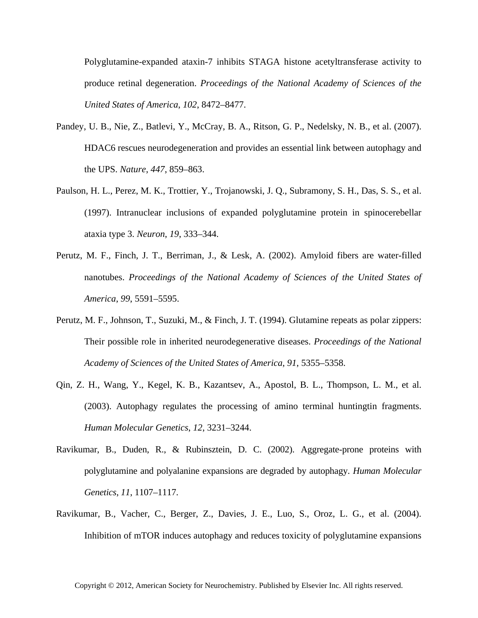Polyglutamine-expanded ataxin-7 inhibits STAGA histone acetyltransferase activity to produce retinal degeneration. *Proceedings of the National Academy of Sciences of the United States of America*, *102*, 8472–8477.

- Pandey, U. B., Nie, Z., Batlevi, Y., McCray, B. A., Ritson, G. P., Nedelsky, N. B., et al. (2007). HDAC6 rescues neurodegeneration and provides an essential link between autophagy and the UPS. *Nature*, *447*, 859–863.
- Paulson, H. L., Perez, M. K., Trottier, Y., Trojanowski, J. Q., Subramony, S. H., Das, S. S., et al. (1997). Intranuclear inclusions of expanded polyglutamine protein in spinocerebellar ataxia type 3. *Neuron*, *19*, 333–344.
- Perutz, M. F., Finch, J. T., Berriman, J., & Lesk, A. (2002). Amyloid fibers are water-filled nanotubes. *Proceedings of the National Academy of Sciences of the United States of America*, *99*, 5591–5595.
- Perutz, M. F., Johnson, T., Suzuki, M., & Finch, J. T. (1994). Glutamine repeats as polar zippers: Their possible role in inherited neurodegenerative diseases. *Proceedings of the National Academy of Sciences of the United States of America*, *91*, 5355–5358.
- Qin, Z. H., Wang, Y., Kegel, K. B., Kazantsev, A., Apostol, B. L., Thompson, L. M., et al. (2003). Autophagy regulates the processing of amino terminal huntingtin fragments. *Human Molecular Genetics*, *12*, 3231–3244.
- Ravikumar, B., Duden, R., & Rubinsztein, D. C. (2002). Aggregate-prone proteins with polyglutamine and polyalanine expansions are degraded by autophagy. *Human Molecular Genetics*, *11*, 1107–1117.
- Ravikumar, B., Vacher, C., Berger, Z., Davies, J. E., Luo, S., Oroz, L. G., et al. (2004). Inhibition of mTOR induces autophagy and reduces toxicity of polyglutamine expansions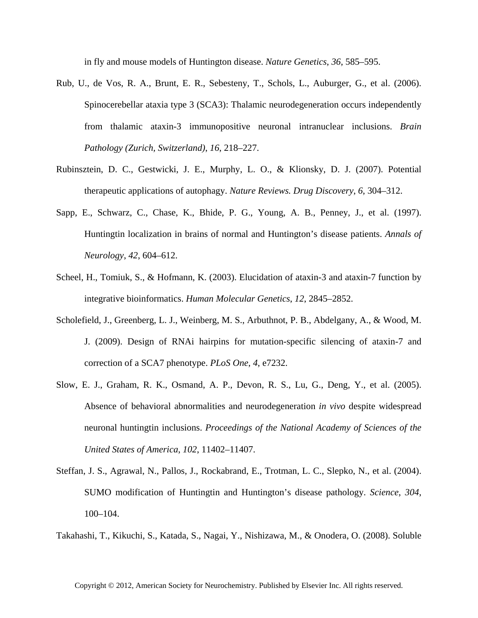in fly and mouse models of Huntington disease. *Nature Genetics*, *36*, 585–595.

- Rub, U., de Vos, R. A., Brunt, E. R., Sebesteny, T., Schols, L., Auburger, G., et al. (2006). Spinocerebellar ataxia type 3 (SCA3): Thalamic neurodegeneration occurs independently from thalamic ataxin-3 immunopositive neuronal intranuclear inclusions. *Brain Pathology (Zurich, Switzerland)*, *16*, 218–227.
- Rubinsztein, D. C., Gestwicki, J. E., Murphy, L. O., & Klionsky, D. J. (2007). Potential therapeutic applications of autophagy. *Nature Reviews. Drug Discovery*, *6*, 304–312.
- Sapp, E., Schwarz, C., Chase, K., Bhide, P. G., Young, A. B., Penney, J., et al. (1997). Huntingtin localization in brains of normal and Huntington's disease patients. *Annals of Neurology*, *42*, 604–612.
- Scheel, H., Tomiuk, S., & Hofmann, K. (2003). Elucidation of ataxin-3 and ataxin-7 function by integrative bioinformatics. *Human Molecular Genetics*, *12*, 2845–2852.
- Scholefield, J., Greenberg, L. J., Weinberg, M. S., Arbuthnot, P. B., Abdelgany, A., & Wood, M. J. (2009). Design of RNAi hairpins for mutation-specific silencing of ataxin-7 and correction of a SCA7 phenotype. *PLoS One*, *4*, e7232.
- Slow, E. J., Graham, R. K., Osmand, A. P., Devon, R. S., Lu, G., Deng, Y., et al. (2005). Absence of behavioral abnormalities and neurodegeneration *in vivo* despite widespread neuronal huntingtin inclusions. *Proceedings of the National Academy of Sciences of the United States of America*, *102*, 11402–11407.
- Steffan, J. S., Agrawal, N., Pallos, J., Rockabrand, E., Trotman, L. C., Slepko, N., et al. (2004). SUMO modification of Huntingtin and Huntington's disease pathology. *Science*, *304*, 100–104.

Takahashi, T., Kikuchi, S., Katada, S., Nagai, Y., Nishizawa, M., & Onodera, O. (2008). Soluble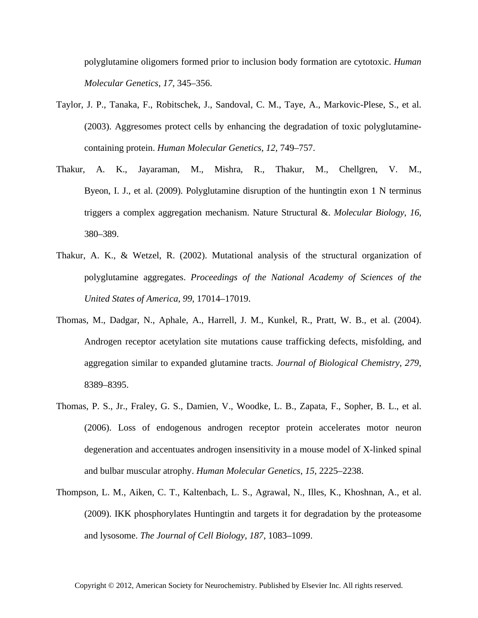polyglutamine oligomers formed prior to inclusion body formation are cytotoxic. *Human Molecular Genetics*, *17*, 345–356.

- Taylor, J. P., Tanaka, F., Robitschek, J., Sandoval, C. M., Taye, A., Markovic-Plese, S., et al. (2003). Aggresomes protect cells by enhancing the degradation of toxic polyglutaminecontaining protein. *Human Molecular Genetics*, *12*, 749–757.
- Thakur, A. K., Jayaraman, M., Mishra, R., Thakur, M., Chellgren, V. M., Byeon, I. J., et al. (2009). Polyglutamine disruption of the huntingtin exon 1 N terminus triggers a complex aggregation mechanism. Nature Structural &. *Molecular Biology*, *16*, 380–389.
- Thakur, A. K., & Wetzel, R. (2002). Mutational analysis of the structural organization of polyglutamine aggregates. *Proceedings of the National Academy of Sciences of the United States of America*, *99*, 17014–17019.
- Thomas, M., Dadgar, N., Aphale, A., Harrell, J. M., Kunkel, R., Pratt, W. B., et al. (2004). Androgen receptor acetylation site mutations cause trafficking defects, misfolding, and aggregation similar to expanded glutamine tracts. *Journal of Biological Chemistry*, *279*, 8389–8395.
- Thomas, P. S., Jr., Fraley, G. S., Damien, V., Woodke, L. B., Zapata, F., Sopher, B. L., et al. (2006). Loss of endogenous androgen receptor protein accelerates motor neuron degeneration and accentuates androgen insensitivity in a mouse model of X-linked spinal and bulbar muscular atrophy. *Human Molecular Genetics*, *15*, 2225–2238.
- Thompson, L. M., Aiken, C. T., Kaltenbach, L. S., Agrawal, N., Illes, K., Khoshnan, A., et al. (2009). IKK phosphorylates Huntingtin and targets it for degradation by the proteasome and lysosome. *The Journal of Cell Biology*, *187*, 1083–1099.